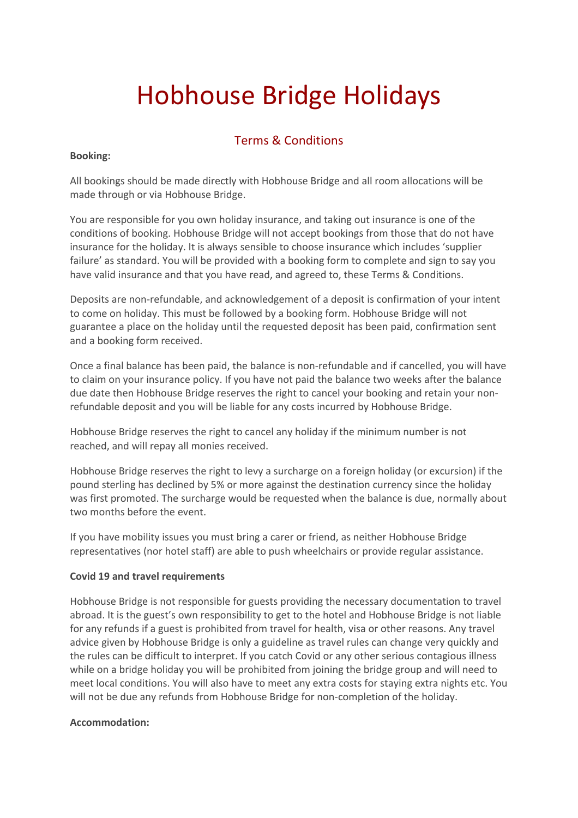# Hobhouse Bridge Holidays

## Terms & Conditions

## **Booking:**

All bookings should be made directly with Hobhouse Bridge and all room allocations will be made through or via Hobhouse Bridge.

You are responsible for you own holiday insurance, and taking out insurance is one of the conditions of booking. Hobhouse Bridge will not accept bookings from those that do not have insurance for the holiday. It is always sensible to choose insurance which includes 'supplier failure' as standard. You will be provided with a booking form to complete and sign to say you have valid insurance and that you have read, and agreed to, these Terms & Conditions.

Deposits are non-refundable, and acknowledgement of a deposit is confirmation of your intent to come on holiday. This must be followed by a booking form. Hobhouse Bridge will not guarantee a place on the holiday until the requested deposit has been paid, confirmation sent and a booking form received.

Once a final balance has been paid, the balance is non-refundable and if cancelled, you will have to claim on your insurance policy. If you have not paid the balance two weeks after the balance due date then Hobhouse Bridge reserves the right to cancel your booking and retain your nonrefundable deposit and you will be liable for any costs incurred by Hobhouse Bridge.

Hobhouse Bridge reserves the right to cancel any holiday if the minimum number is not reached, and will repay all monies received.

Hobhouse Bridge reserves the right to levy a surcharge on a foreign holiday (or excursion) if the pound sterling has declined by 5% or more against the destination currency since the holiday was first promoted. The surcharge would be requested when the balance is due, normally about two months before the event.

If you have mobility issues you must bring a carer or friend, as neither Hobhouse Bridge representatives (nor hotel staff) are able to push wheelchairs or provide regular assistance.

## **Covid 19 and travel requirements**

Hobhouse Bridge is not responsible for guests providing the necessary documentation to travel abroad. It is the guest's own responsibility to get to the hotel and Hobhouse Bridge is not liable for any refunds if a guest is prohibited from travel for health, visa or other reasons. Any travel advice given by Hobhouse Bridge is only a guideline as travel rules can change very quickly and the rules can be difficult to interpret. If you catch Covid or any other serious contagious illness while on a bridge holiday you will be prohibited from joining the bridge group and will need to meet local conditions. You will also have to meet any extra costs for staying extra nights etc. You will not be due any refunds from Hobhouse Bridge for non-completion of the holiday.

#### **Accommodation:**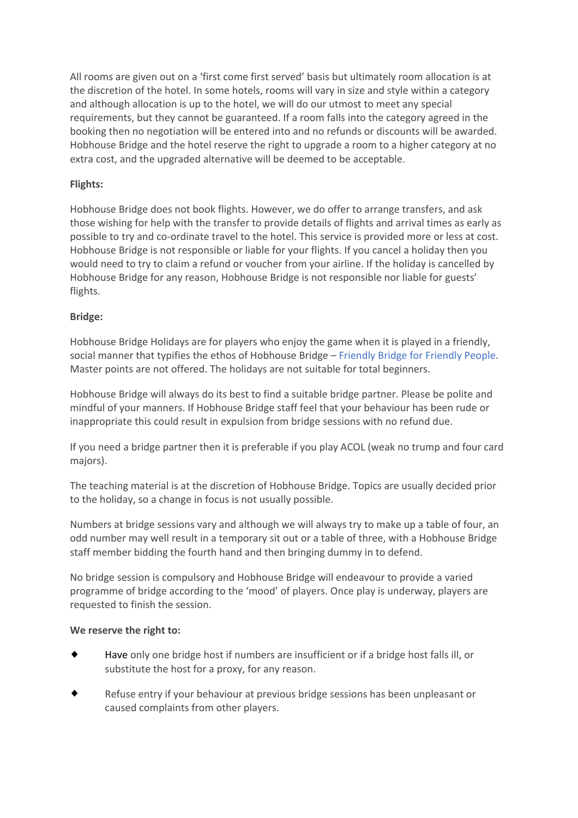All rooms are given out on a 'first come first served' basis but ultimately room allocation is at the discretion of the hotel. In some hotels, rooms will vary in size and style within a category and although allocation is up to the hotel, we will do our utmost to meet any special requirements, but they cannot be guaranteed. If a room falls into the category agreed in the booking then no negotiation will be entered into and no refunds or discounts will be awarded. Hobhouse Bridge and the hotel reserve the right to upgrade a room to a higher category at no extra cost, and the upgraded alternative will be deemed to be acceptable.

## **Flights:**

Hobhouse Bridge does not book flights. However, we do offer to arrange transfers, and ask those wishing for help with the transfer to provide details of flights and arrival times as early as possible to try and co-ordinate travel to the hotel. This service is provided more or less at cost. Hobhouse Bridge is not responsible or liable for your flights. If you cancel a holiday then you would need to try to claim a refund or voucher from your airline. If the holiday is cancelled by Hobhouse Bridge for any reason, Hobhouse Bridge is not responsible nor liable for guests' flights.

## **Bridge:**

Hobhouse Bridge Holidays are for players who enjoy the game when it is played in a friendly, social manner that typifies the ethos of Hobhouse Bridge – Friendly Bridge for Friendly People. Master points are not offered. The holidays are not suitable for total beginners.

Hobhouse Bridge will always do its best to find a suitable bridge partner. Please be polite and mindful of your manners. If Hobhouse Bridge staff feel that your behaviour has been rude or inappropriate this could result in expulsion from bridge sessions with no refund due.

If you need a bridge partner then it is preferable if you play ACOL (weak no trump and four card majors).

The teaching material is at the discretion of Hobhouse Bridge. Topics are usually decided prior to the holiday, so a change in focus is not usually possible.

Numbers at bridge sessions vary and although we will always try to make up a table of four, an odd number may well result in a temporary sit out or a table of three, with a Hobhouse Bridge staff member bidding the fourth hand and then bringing dummy in to defend.

No bridge session is compulsory and Hobhouse Bridge will endeavour to provide a varied programme of bridge according to the 'mood' of players. Once play is underway, players are requested to finish the session.

## **We reserve the right to:**

- Have only one bridge host if numbers are insufficient or if a bridge host falls ill, or  $\bullet$ substitute the host for a proxy, for any reason.
- Refuse entry if your behaviour at previous bridge sessions has been unpleasant or caused complaints from other players.